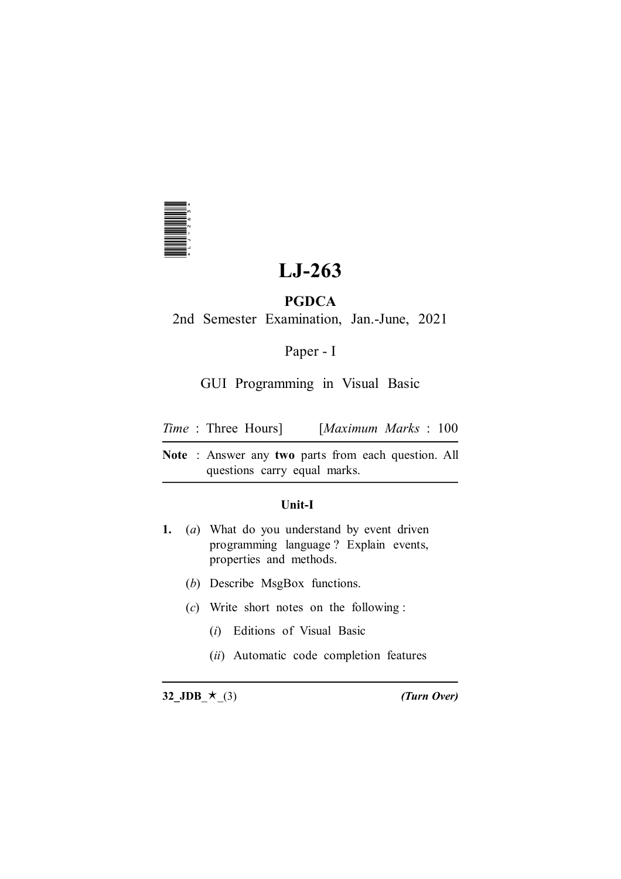

# **LJ-263**

## **PGDCA**

2nd Semester Examination, Jan.-June, 2021

Paper - I

GUI Programming in Visual Basic

| <i>Time</i> : Three Hours] |  | [Maximum Marks: 100] |  |  |  |
|----------------------------|--|----------------------|--|--|--|
|----------------------------|--|----------------------|--|--|--|

**Note** : Answer any **two** parts from each question. All questions carry equal marks.

## **Unit-I**

- **1.** (*a*) What do you understand by event driven programming language ? Explain events, properties and methods. **32\_JDB**\_g\_(3) *(Turn Over)* \*LJ-263\*
	- (*b*) Describe MsgBox functions.
	- (*c*) Write short notes on the following :
		- (*i*) Editions of Visual Basic
		- (*ii*) Automatic code completion features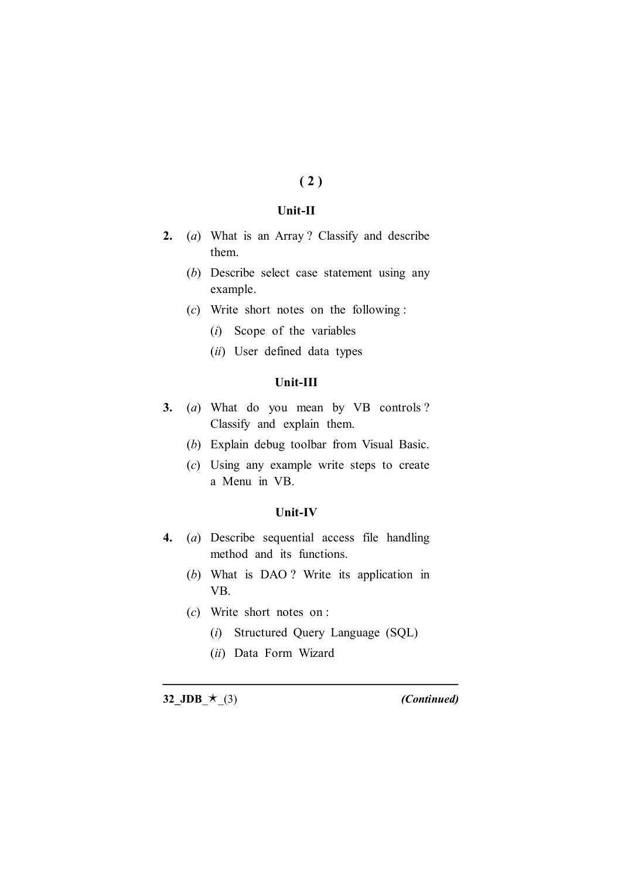## **( 2 )**

#### **Unit-II**

- **2.** (*a*) What is an Array ? Classify and describe them.
	- (*b*) Describe select case statement using any example.
	- (*c*) Write short notes on the following :
		- (*i*) Scope of the variables
		- (*ii*) User defined data types

#### **Unit-III**

- **3.** (*a*) What do you mean by VB controls ? Classify and explain them.
	- (*b*) Explain debug toolbar from Visual Basic.
	- (*c*) Using any example write steps to create a Menu in VB.

#### **Unit-IV**

- **4.** (*a*) Describe sequential access file handling method and its functions.
	- (*b*) What is DAO ? Write its application in VB.
	- (*c*) Write short notes on :
		- (*i*) Structured Query Language (SQL)
		- (*ii*) Data Form Wizard

**32\_JDB\_** $\star$ \_(3) *(Continued)*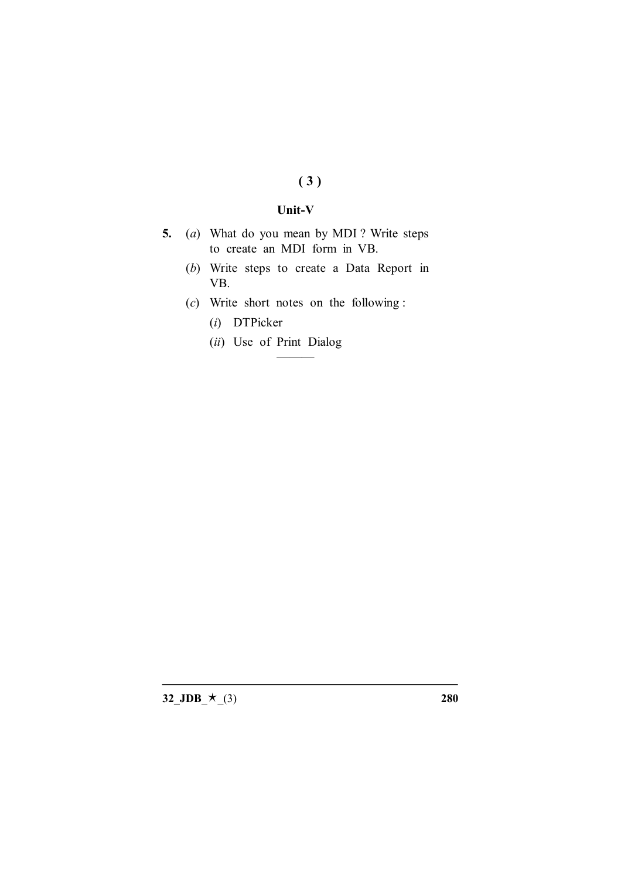# **( 3 )**

#### **Unit-V**

- **5.** (*a*) What do you mean by MDI ? Write steps to create an MDI form in VB.
	- (*b*) Write steps to create a Data Report in VB.
	- (*c*) Write short notes on the following :

———

- (*i*) DTPicker
- (*ii*) Use of Print Dialog

**32\_JDB\_** $\star$ \_(3) **280**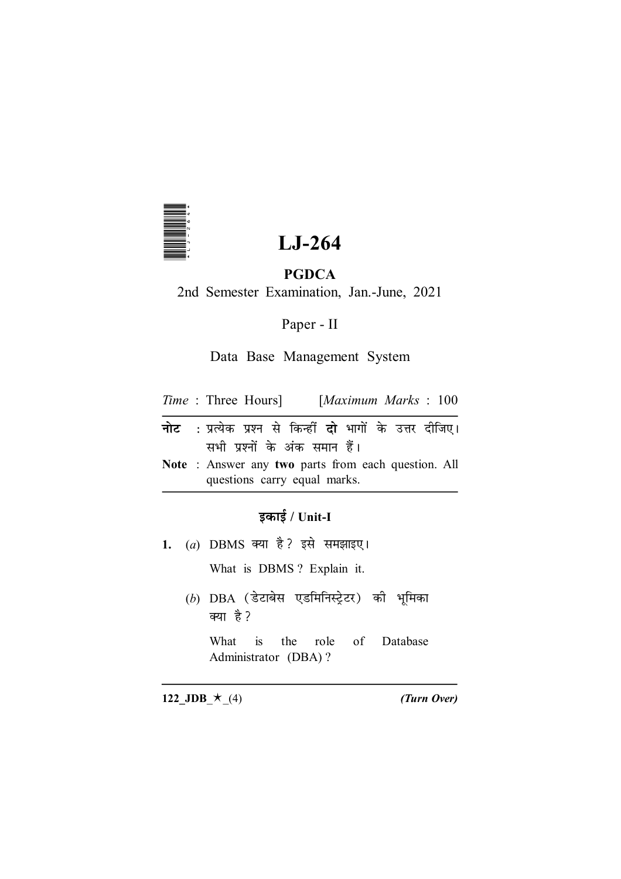

# LJ-264

# **PGDCA**

2nd Semester Examination, Jan.-June, 2021

Paper - II

## Data Base Management System

| <i>Time</i> : Three Hours] |  | $\left[Maximum \; Marks \; : \; 100 \right]$ |  |  |  |
|----------------------------|--|----------------------------------------------|--|--|--|
|----------------------------|--|----------------------------------------------|--|--|--|

- नोट : प्रत्येक प्रश्न से किन्हीं दो भागों के उत्तर दीजिए। सभी प्रश्नों के अंक समान हैं।
- Note : Answer any two parts from each question. All questions carry equal marks.

## इकाई / Unit-I

1. (a) DBMS क्या है? इसे समझाइए।

What is DBMS? Explain it.

 $(b)$  DBA (डेटाबेस एडमिनिस्ट्रेटर) की भूमिका क्या है?

 $is$ What the role  $\sigma$ f Database Administrator (DBA)?

122\_JDB\_ $\star$ \_(4)

(Turn Over)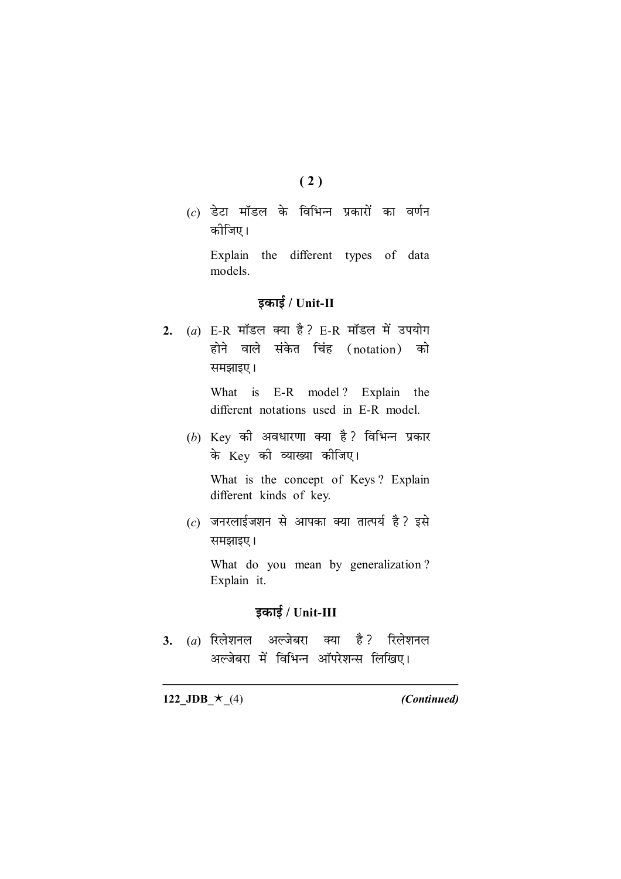- $(2)$
- $(c)$  डेटा मॉडल के विभिन्न प्रकारों का वर्णन कोजिए।

Explain the different types of data models.

## इकाई / Unit-II

2. (a) E-R मॉडल क्या है? E-R मॉडल में उपयोग होने वाले संकेत चिंह (notation) को समझाइए।

> What is E-R model? Explain the different notations used in E-R model.

(b) Key की अवधारणा क्या है? विभिन्न प्रकार के Key की व्याख्या कीजिए।

What is the concept of Keys? Explain different kinds of key.

 $(c)$  जनरलाईजशन से आपका क्या तात्पर्य है ? इसे समझाइए।

What do you mean by generalization? Explain it.

## इकाई / Unit-III

है ? रिलेशनल  $3.$  (*a*) रिलेशनल अल्जेबरा क्या अल्जेबरा में विभिन्न ऑपरेशन्स लिखिए।

122\_JDB\_ $\star$ \_(4)

(Continued)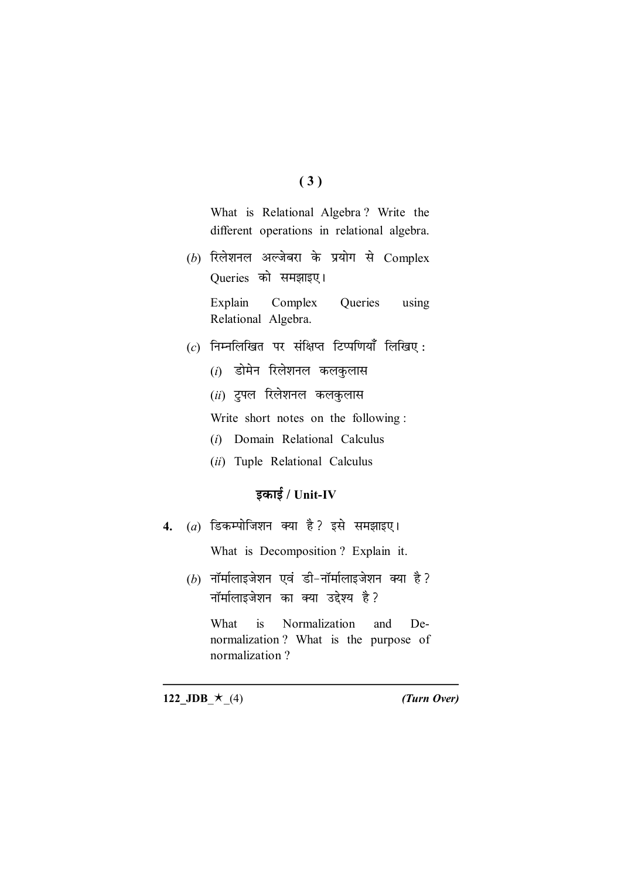## $(3)$

What is Relational Algebra? Write the different operations in relational algebra.

 $(b)$  रिलेशनल अल्जेबरा के प्रयोग से Complex Queries को समझाइए।

> Explain Complex Queries using Relational Algebra.

- $(c)$  निम्नलिखित पर संक्षिप्त टिप्पणियाँ लिखिए:
	- $(i)$  डोमेन रिलेशनल कलकुलास
	- (ii) ट्रूपल रिलेशनल कलकुलास

Write short notes on the following:

- (i) Domain Relational Calculus
- (ii) Tuple Relational Calculus

# इकाई /  $Unit$ -IV

 $(a)$  डिकम्पोजिशन क्या है? इसे समझाइए।  $\overline{4}$ .

What is Decomposition? Explain it.

 $(b)$  नॉर्मालाइजेशन एवं डी-नॉर्मालाइजेशन क्या है? नॉर्मालाइजेशन का क्या उद्देश्य है ?

 $is$ Normalization De-What and normalization? What is the purpose of normalization?

122\_JDB\_ $\star$ \_(4)

(Turn Over)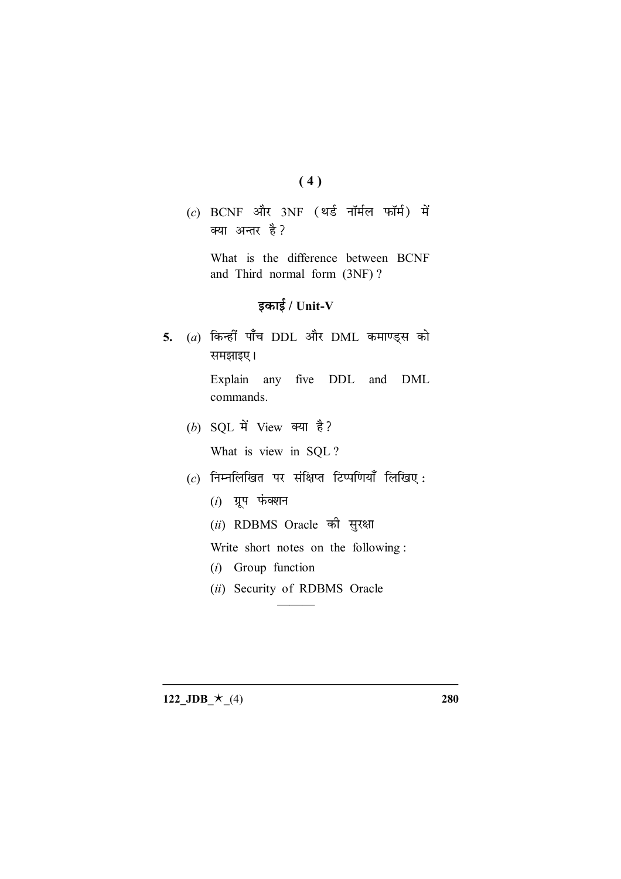- $(4)$
- (c) BCNF और 3NF (थर्ड नॉर्मल फॉर्म) में क्या अन्तर है?

What is the difference between BCNF and Third normal form (3NF)?

# इकाई /  $Unit-V$

 $(a)$  किन्हीं पाँच DDL और DML कमाण्ड्स को  $5.$ समझाइए।

> Explain any five DDL and DML commands.

- (b) SQL में View क्या है? What is view in SQL?
- $(c)$  निम्नलिखित पर संक्षिप्त टिप्पणियाँ लिखिए:
	- $(i)$  ग्रूप फंक्शन
	- (ii) RDBMS Oracle की सुरक्षा

Write short notes on the following:

- $(i)$  Group function
- (ii) Security of RDBMS Oracle

122\_JDB\_ $\star$ \_(4)

280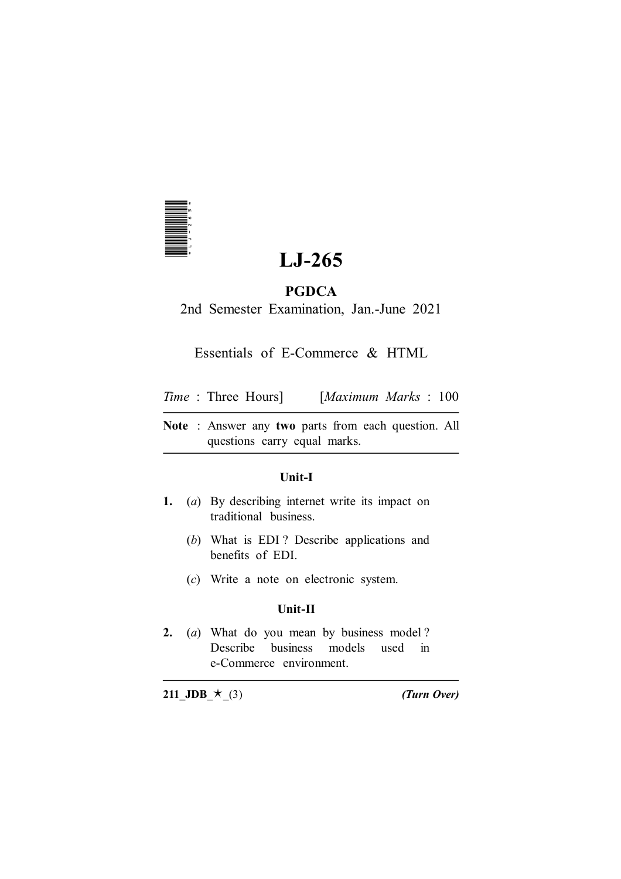

# **LJ-265**

## **PGDCA**

2nd Semester Examination, Jan.-June 2021

## Essentials of E-Commerce & HTML

*Time* : Three Hours] [*Maximum Marks* : 100

**Note** : Answer any **two** parts from each question. All questions carry equal marks.

## **Unit-I**

- **1.** (*a*) By describing internet write its impact on traditional business.
	- (*b*) What is EDI ? Describe applications and benefits of EDI.
	- (*c*) Write a note on electronic system.

## **Unit-II**

**2.** (*a*) What do you mean by business model ? Describe business models used in e-Commerce environment. **211\_JDB**  $\star$  (3) **211**<br> **211\_JDB**  $\star$  (3) **211**<br> **211**<br> **211**<br> **211**<br> **211**<br> **211**<br> **211**<br> **211**<br> **211**<br> **211**<br> **211**<br> **211**<br> **211**<br> **211**<br> **211**<br> **211**<br> **211**<br> **211**<br> **211**<br> **211**<br> **211**<br> **211**<br> **211**<br> **211**<br> **211**<br> **2**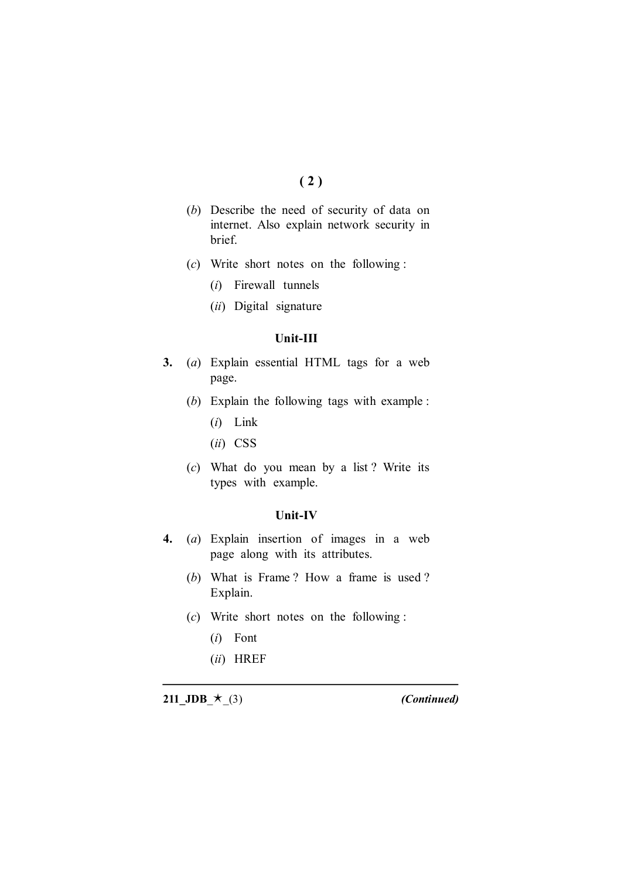## **( 2 )**

- (*b*) Describe the need of security of data on internet. Also explain network security in brief.
- (*c*) Write short notes on the following :
	- (*i*) Firewall tunnels
	- (*ii*) Digital signature

#### **Unit-III**

- **3.** (*a*) Explain essential HTML tags for a web page.
	- (*b*) Explain the following tags with example :
		- (*i*) Link
		- (*ii*) CSS
	- (*c*) What do you mean by a list ? Write its types with example.

#### **Unit-IV**

- **4.** (*a*) Explain insertion of images in a web page along with its attributes.
	- (*b*) What is Frame ? How a frame is used ? Explain.
	- (*c*) Write short notes on the following :
		- (*i*) Font
		- (*ii*) HREF

**211\_JDB\_** $\star$ \_(3) *(Continued)*